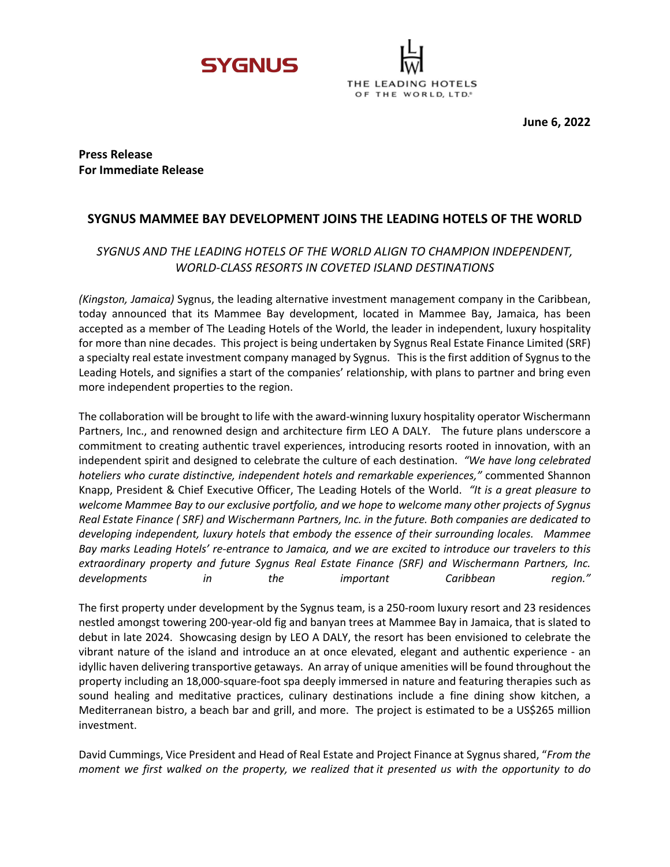



**Press Release For Immediate Release**

# **SYGNUS MAMMEE BAY DEVELOPMENT JOINS THE LEADING HOTELS OF THE WORLD**

# *SYGNUS AND THE LEADING HOTELS OF THE WORLD ALIGN TO CHAMPION INDEPENDENT, WORLD-CLASS RESORTS IN COVETED ISLAND DESTINATIONS*

*(Kingston, Jamaica)* Sygnus, the leading alternative investment management company in the Caribbean, today announced that its Mammee Bay development, located in Mammee Bay, Jamaica, has been accepted as a member of The Leading Hotels of the World, the leader in independent, luxury hospitality for more than nine decades. This project is being undertaken by Sygnus Real Estate Finance Limited (SRF) a specialty real estate investment company managed by Sygnus. This is the first addition of Sygnus to the Leading Hotels, and signifies a start of the companies' relationship, with plans to partner and bring even more independent properties to the region.

The collaboration will be brought to life with the award-winning luxury hospitality operator Wischermann Partners, Inc., and renowned design and architecture firm LEO A DALY. The future plans underscore a commitment to creating authentic travel experiences, introducing resorts rooted in innovation, with an independent spirit and designed to celebrate the culture of each destination. *"We have long celebrated hoteliers who curate distinctive, independent hotels and remarkable experiences,"* commented Shannon Knapp, President & Chief Executive Officer, The Leading Hotels of the World. *"It is a great pleasure to welcome Mammee Bay to our exclusive portfolio, and we hope to welcome many other projects of Sygnus Real Estate Finance ( SRF) and Wischermann Partners, Inc. in the future. Both companies are dedicated to developing independent, luxury hotels that embody the essence of their surrounding locales. Mammee Bay marks Leading Hotels' re-entrance to Jamaica, and we are excited to introduce our travelers to this extraordinary property and future Sygnus Real Estate Finance (SRF) and Wischermann Partners, Inc. developments in the important Caribbean region."*

The first property under development by the Sygnus team, is a 250-room luxury resort and 23 residences nestled amongst towering 200-year-old fig and banyan trees at Mammee Bay in Jamaica, that is slated to debut in late 2024. Showcasing design by LEO A DALY, the resort has been envisioned to celebrate the vibrant nature of the island and introduce an at once elevated, elegant and authentic experience - an idyllic haven delivering transportive getaways. An array of unique amenities will be found throughout the property including an 18,000-square-foot spa deeply immersed in nature and featuring therapies such as sound healing and meditative practices, culinary destinations include a fine dining show kitchen, a Mediterranean bistro, a beach bar and grill, and more. The project is estimated to be a US\$265 million investment.

David Cummings, Vice President and Head of Real Estate and Project Finance at Sygnus shared, "*From the moment we first walked on the property, we realized that it presented us with the opportunity to do*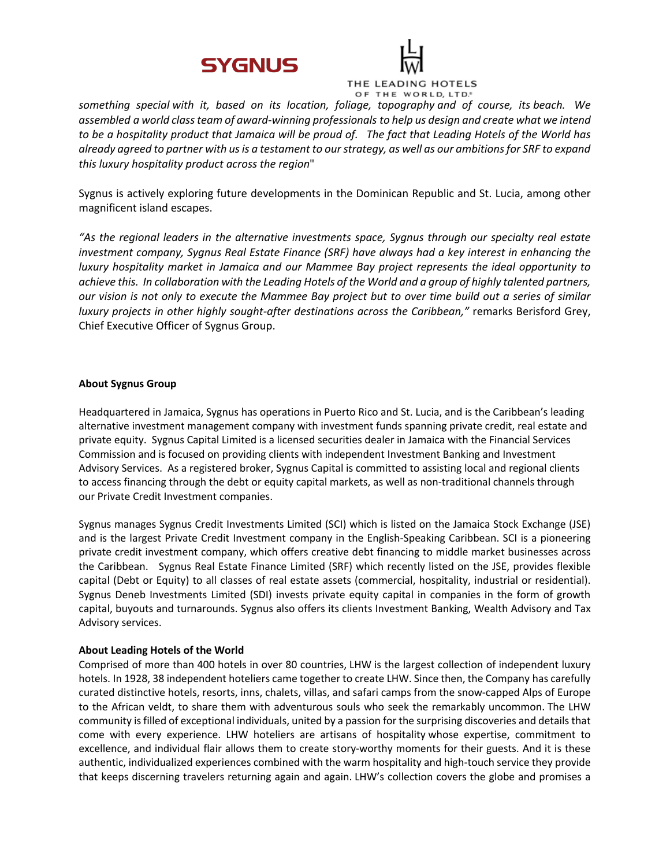



 *something special with it, based on its location, foliage, topography and of course, its beach. We assembled a world class team of award-winning professionals to help us design and create what we intend to be a hospitality product that Jamaica will be proud of. The fact that Leading Hotels of the World has already agreed to partner with us is a testament to our strategy, as well as our ambitions for SRF to expand this luxury hospitality product across the region*"

Sygnus is actively exploring future developments in the Dominican Republic and St. Lucia, among other magnificent island escapes.

*"As the regional leaders in the alternative investments space, Sygnus through our specialty real estate investment company, Sygnus Real Estate Finance (SRF) have always had a key interest in enhancing the luxury hospitality market in Jamaica and our Mammee Bay project represents the ideal opportunity to achieve this. In collaboration with the Leading Hotels of the World and a group of highly talented partners, our vision is not only to execute the Mammee Bay project but to over time build out a series of similar luxury projects in other highly sought-after destinations across the Caribbean,"* remarks Berisford Grey, Chief Executive Officer of Sygnus Group.

## **About Sygnus Group**

Headquartered in Jamaica, Sygnus has operations in Puerto Rico and St. Lucia, and is the Caribbean's leading alternative investment management company with investment funds spanning private credit, real estate and private equity. Sygnus Capital Limited is a licensed securities dealer in Jamaica with the Financial Services Commission and is focused on providing clients with independent Investment Banking and Investment Advisory Services. As a registered broker, Sygnus Capital is committed to assisting local and regional clients to access financing through the debt or equity capital markets, as well as non-traditional channels through our Private Credit Investment companies.

Sygnus manages Sygnus Credit Investments Limited (SCI) which is listed on the Jamaica Stock Exchange (JSE) and is the largest Private Credit Investment company in the English-Speaking Caribbean. SCI is a pioneering private credit investment company, which offers creative debt financing to middle market businesses across the Caribbean. Sygnus Real Estate Finance Limited (SRF) which recently listed on the JSE, provides flexible capital (Debt or Equity) to all classes of real estate assets (commercial, hospitality, industrial or residential). Sygnus Deneb Investments Limited (SDI) invests private equity capital in companies in the form of growth capital, buyouts and turnarounds. Sygnus also offers its clients Investment Banking, Wealth Advisory and Tax Advisory services.

## **About Leading Hotels of the World**

Comprised of more than 400 hotels in over 80 countries, LHW is the largest collection of independent luxury hotels. In 1928, 38 independent hoteliers came together to create LHW. Since then, the Company has carefully curated distinctive hotels, resorts, inns, chalets, villas, and safari camps from the snow-capped Alps of Europe to the African veldt, to share them with adventurous souls who seek the remarkably uncommon. The LHW community is filled of exceptional individuals, united by a passion for the surprising discoveries and details that come with every experience. LHW hoteliers are artisans of hospitality whose expertise, commitment to excellence, and individual flair allows them to create story-worthy moments for their guests. And it is these authentic, individualized experiences combined with the warm hospitality and high-touch service they provide that keeps discerning travelers returning again and again. LHW's collection covers the globe and promises a